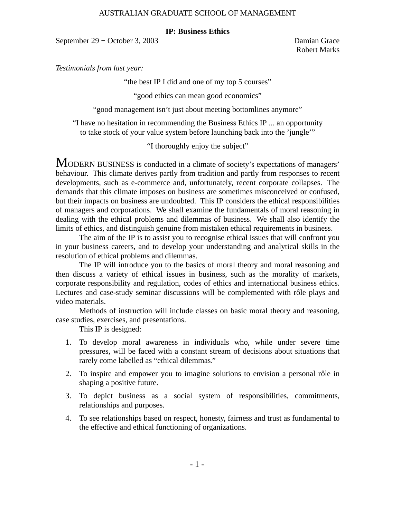### **IP: Business Ethics**

September 29 − October 3, 2003 Damian Grace

Robert Marks

*Testimonials from last year:*

"the best IP I did and one of my top 5 courses"

"good ethics can mean good economics"

"good management isn't just about meeting bottomlines anymore"

"I have no hesitation in recommending the Business Ethics IP ... an opportunity to take stock of your value system before launching back into the 'jungle'"

"I thoroughly enjoy the subject"

MODERN BUSINESS is conducted in a climate of society's expectations of managers' behaviour. This climate derives partly from tradition and partly from responses to recent developments, such as e-commerce and, unfortunately, recent corporate collapses. The demands that this climate imposes on business are sometimes misconceived or confused, but their impacts on business are undoubted. This IP considers the ethical responsibilities of managers and corporations. We shall examine the fundamentals of moral reasoning in dealing with the ethical problems and dilemmas of business. We shall also identify the limits of ethics, and distinguish genuine from mistaken ethical requirements in business.

The aim of the IP is to assist you to recognise ethical issues that will confront you in your business careers, and to develop your understanding and analytical skills in the resolution of ethical problems and dilemmas.

The IP will introduce you to the basics of moral theory and moral reasoning and then discuss a variety of ethical issues in business, such as the morality of markets, corporate responsibility and regulation, codes of ethics and international business ethics. Lectures and case-study seminar discussions will be complemented with rôle plays and video materials.

Methods of instruction will include classes on basic moral theory and reasoning, case studies, exercises, and presentations.

This IP is designed:

- 1. To develop moral awareness in individuals who, while under severe time pressures, will be faced with a constant stream of decisions about situations that rarely come labelled as "ethical dilemmas."
- 2. To inspire and empower you to imagine solutions to envision a personal rôle in shaping a positive future.
- 3. To depict business as a social system of responsibilities, commitments, relationships and purposes.
- 4. To see relationships based on respect, honesty, fairness and trust as fundamental to the effective and ethical functioning of organizations.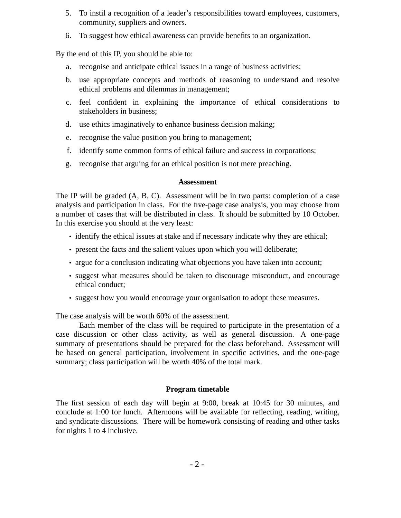- 5. To instil a recognition of a leader's responsibilities toward employees, customers, community, suppliers and owners.
- 6. To suggest how ethical awareness can provide benefits to an organization.

By the end of this IP, you should be able to:

- a. recognise and anticipate ethical issues in a range of business activities;
- b. use appropriate concepts and methods of reasoning to understand and resolve ethical problems and dilemmas in management;
- c. feel confident in explaining the importance of ethical considerations to stakeholders in business;
- d. use ethics imaginatively to enhance business decision making;
- e. recognise the value position you bring to management;
- f. identify some common forms of ethical failure and success in corporations;
- g. recognise that arguing for an ethical position is not mere preaching.

## **Assessment**

The IP will be graded (A, B, C). Assessment will be in two parts: completion of a case analysis and participation in class. For the five-page case analysis, you may choose from a number of cases that will be distributed in class. It should be submitted by 10 October. In this exercise you should at the very least:

- identify the ethical issues at stake and if necessary indicate why they are ethical;
- present the facts and the salient values upon which you will deliberate;
- argue for a conclusion indicating what objections you have taken into account;
- suggest what measures should be taken to discourage misconduct, and encourage ethical conduct;
- suggest how you would encourage your organisation to adopt these measures.

The case analysis will be worth 60% of the assessment.

Each member of the class will be required to participate in the presentation of a case discussion or other class activity, as well as general discussion. A one-page summary of presentations should be prepared for the class beforehand. Assessment will be based on general participation, involvement in specific activities, and the one-page summary; class participation will be worth 40% of the total mark.

# **Program timetable**

The first session of each day will begin at 9:00, break at 10:45 for 30 minutes, and conclude at 1:00 for lunch. Afternoons will be available for reflecting, reading, writing, and syndicate discussions. There will be homework consisting of reading and other tasks for nights 1 to 4 inclusive.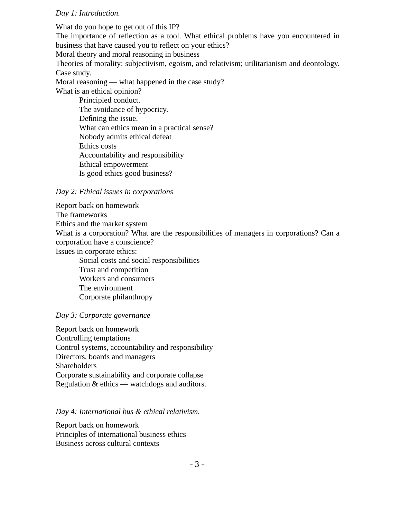### *Day 1: Introduction.*

What do you hope to get out of this IP? The importance of reflection as a tool. What ethical problems have you encountered in business that have caused you to reflect on your ethics? Moral theory and moral reasoning in business Theories of morality: subjectivism, egoism, and relativism; utilitarianism and deontology. Case study. Moral reasoning — what happened in the case study? What is an ethical opinion? Principled conduct. The avoidance of hypocricy. Defining the issue. What can ethics mean in a practical sense? Nobody admits ethical defeat Ethics costs Accountability and responsibility

Ethical empowerment

Is good ethics good business?

#### *Day 2: Ethical issues in corporations*

Report back on homework The frameworks Ethics and the market system What is a corporation? What are the responsibilities of managers in corporations? Can a corporation have a conscience? Issues in corporate ethics: Social costs and social responsibilities Trust and competition Workers and consumers The environment

Corporate philanthropy

# *Day 3: Corporate governance*

Report back on homework Controlling temptations Control systems, accountability and responsibility Directors, boards and managers Shareholders Corporate sustainability and corporate collapse Regulation & ethics — watchdogs and auditors.

### *Day 4: International bus & ethical relativism.*

Report back on homework Principles of international business ethics Business across cultural contexts